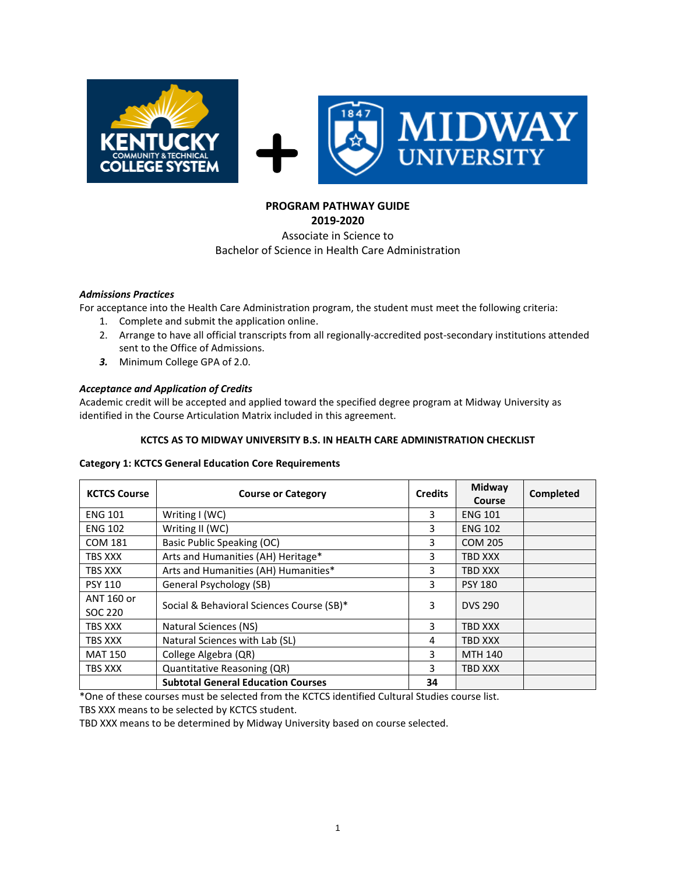

# **PROGRAM PATHWAY GUIDE**

## **2019-2020** Associate in Science to Bachelor of Science in Health Care Administration

## *Admissions Practices*

For acceptance into the Health Care Administration program, the student must meet the following criteria:

- 1. Complete and submit the application online.
- 2. Arrange to have all official transcripts from all regionally-accredited post-secondary institutions attended sent to the Office of Admissions.
- *3.* Minimum College GPA of 2.0.

## *Acceptance and Application of Credits*

Academic credit will be accepted and applied toward the specified degree program at Midway University as identified in the Course Articulation Matrix included in this agreement.

### **KCTCS AS TO MIDWAY UNIVERSITY B.S. IN HEALTH CARE ADMINISTRATION CHECKLIST**

#### **Category 1: KCTCS General Education Core Requirements**

| <b>KCTCS Course</b>   | <b>Course or Category</b>                 | <b>Credits</b> | Midway<br>Course | Completed |
|-----------------------|-------------------------------------------|----------------|------------------|-----------|
| <b>ENG 101</b>        | Writing I (WC)                            | 3              | <b>ENG 101</b>   |           |
| <b>ENG 102</b>        | Writing II (WC)                           | 3              | <b>ENG 102</b>   |           |
| <b>COM 181</b>        | Basic Public Speaking (OC)                | 3              | <b>COM 205</b>   |           |
| TBS XXX               | Arts and Humanities (AH) Heritage*        | 3              | TBD XXX          |           |
| TBS XXX               | Arts and Humanities (AH) Humanities*      | 3              | <b>TBD XXX</b>   |           |
| <b>PSY 110</b>        | General Psychology (SB)                   | 3              | <b>PSY 180</b>   |           |
| ANT 160 or<br>SOC 220 | Social & Behavioral Sciences Course (SB)* | 3              | <b>DVS 290</b>   |           |
| TBS XXX               | Natural Sciences (NS)                     | 3              | TBD XXX          |           |
| TBS XXX               | Natural Sciences with Lab (SL)            | 4              | TBD XXX          |           |
| <b>MAT 150</b>        | College Algebra (QR)                      | 3              | <b>MTH 140</b>   |           |
| TBS XXX               | Quantitative Reasoning (QR)               | 3              | TBD XXX          |           |
|                       | <b>Subtotal General Education Courses</b> | 34             |                  |           |

\*One of these courses must be selected from the KCTCS identified Cultural Studies course list.

TBS XXX means to be selected by KCTCS student.

TBD XXX means to be determined by Midway University based on course selected.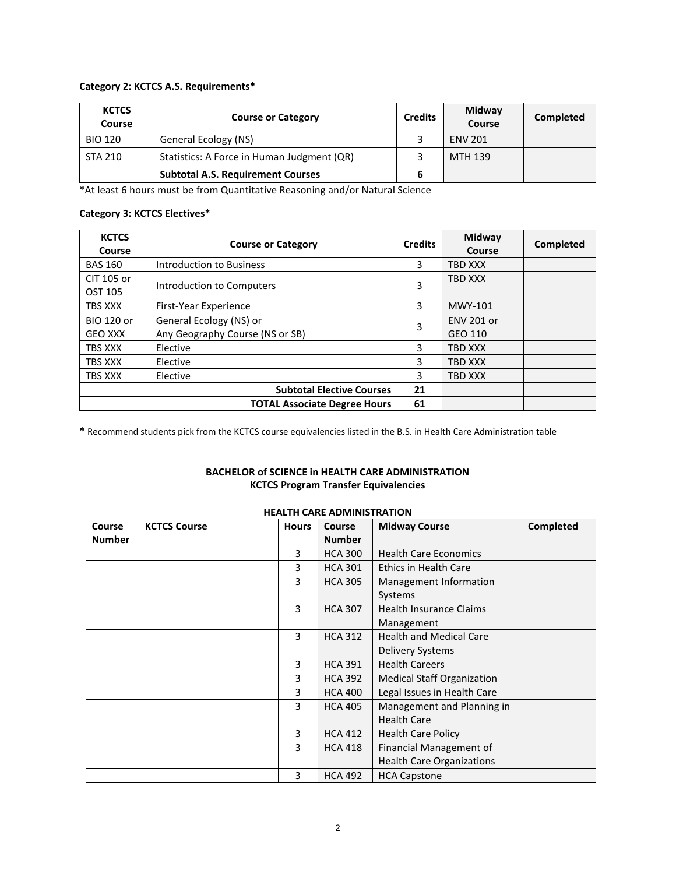#### **Category 2: KCTCS A.S. Requirements\***

| <b>KCTCS</b><br>Course | <b>Course or Category</b>                  | <b>Credits</b> | Midway<br>Course | Completed |
|------------------------|--------------------------------------------|----------------|------------------|-----------|
| <b>BIO 120</b>         | General Ecology (NS)                       |                | <b>ENV 201</b>   |           |
| <b>STA 210</b>         | Statistics: A Force in Human Judgment (QR) |                | MTH 139          |           |
|                        | <b>Subtotal A.S. Requirement Courses</b>   |                |                  |           |

\*At least 6 hours must be from Quantitative Reasoning and/or Natural Science

## **Category 3: KCTCS Electives\***

| <b>KCTCS</b><br>Course              | <b>Course or Category</b>                                  | <b>Credits</b> | Midway<br><b>Course</b>      | Completed |
|-------------------------------------|------------------------------------------------------------|----------------|------------------------------|-----------|
| <b>BAS 160</b>                      | Introduction to Business                                   | 3              | TBD XXX                      |           |
| CIT 105 or<br>OST 105               | Introduction to Computers                                  |                | <b>TBD XXX</b>               |           |
| TBS XXX                             | First-Year Experience                                      | 3              | <b>MWY-101</b>               |           |
| <b>BIO 120 or</b><br><b>GEO XXX</b> | General Ecology (NS) or<br>Any Geography Course (NS or SB) |                | <b>ENV 201 or</b><br>GEO 110 |           |
| TBS XXX                             | Elective                                                   |                | <b>TBD XXX</b>               |           |
| TBS XXX                             | Elective                                                   | 3              | TBD XXX                      |           |
| TBS XXX                             | Elective                                                   | 3              | TBD XXX                      |           |
|                                     | <b>Subtotal Elective Courses</b>                           | 21             |                              |           |
|                                     | <b>TOTAL Associate Degree Hours</b>                        | 61             |                              |           |

**\*** Recommend students pick from the KCTCS course equivalencies listed in the B.S. in Health Care Administration table

## **BACHELOR of SCIENCE in HEALTH CARE ADMINISTRATION KCTCS Program Transfer Equivalencies**

## **HEALTH CARE ADMINISTRATION**

| Course        | <b>KCTCS Course</b> | <b>Hours</b> | Course         | <b>Midway Course</b>              | Completed |
|---------------|---------------------|--------------|----------------|-----------------------------------|-----------|
| <b>Number</b> |                     |              | <b>Number</b>  |                                   |           |
|               |                     | 3            | <b>HCA 300</b> | <b>Health Care Economics</b>      |           |
|               |                     | 3            | <b>HCA 301</b> | <b>Ethics in Health Care</b>      |           |
|               |                     | 3            | <b>HCA 305</b> | Management Information            |           |
|               |                     |              |                | Systems                           |           |
|               |                     | 3            | <b>HCA 307</b> | <b>Health Insurance Claims</b>    |           |
|               |                     |              |                | Management                        |           |
|               |                     | 3            | <b>HCA 312</b> | <b>Health and Medical Care</b>    |           |
|               |                     |              |                | Delivery Systems                  |           |
|               |                     | 3            | <b>HCA 391</b> | <b>Health Careers</b>             |           |
|               |                     | 3            | <b>HCA 392</b> | <b>Medical Staff Organization</b> |           |
|               |                     | 3            | <b>HCA 400</b> | Legal Issues in Health Care       |           |
|               |                     | 3            | <b>HCA 405</b> | Management and Planning in        |           |
|               |                     |              |                | <b>Health Care</b>                |           |
|               |                     | 3            | <b>HCA 412</b> | <b>Health Care Policy</b>         |           |
|               |                     | 3            | <b>HCA 418</b> | Financial Management of           |           |
|               |                     |              |                | <b>Health Care Organizations</b>  |           |
|               |                     | 3            | <b>HCA 492</b> | <b>HCA Capstone</b>               |           |